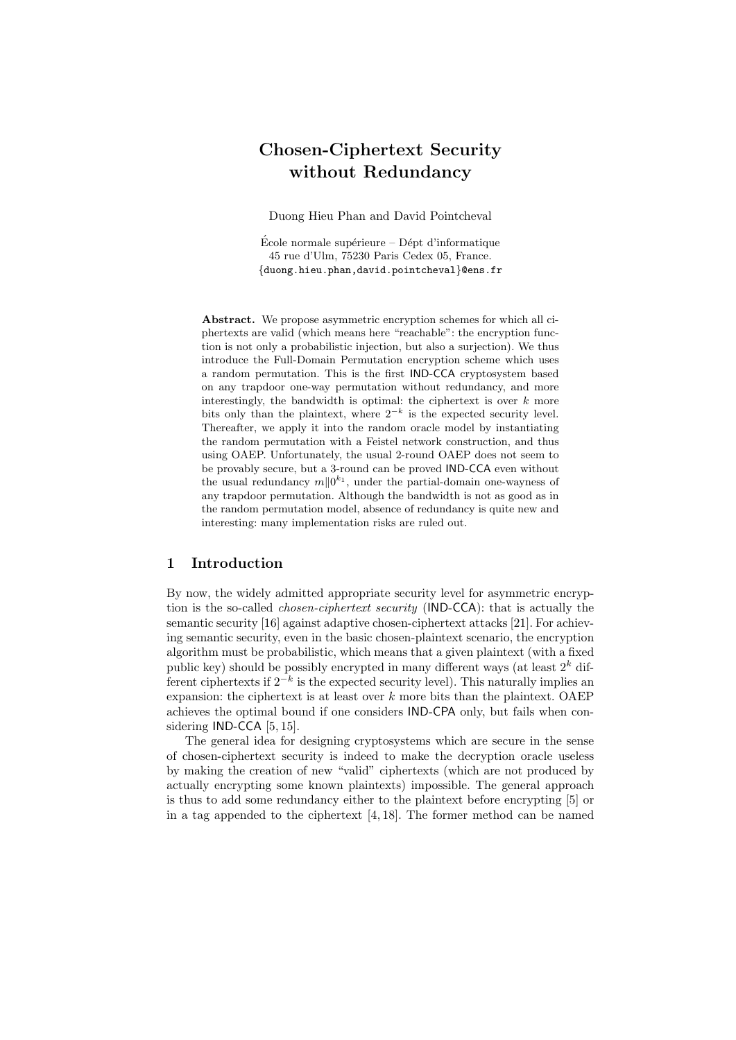# Chosen-Ciphertext Security without Redundancy

Duong Hieu Phan and David Pointcheval

 $\acute{E}$ cole normale supérieure – Dépt d'informatique 45 rue d'Ulm, 75230 Paris Cedex 05, France. {duong.hieu.phan,david.pointcheval}@ens.fr

Abstract. We propose asymmetric encryption schemes for which all ciphertexts are valid (which means here "reachable": the encryption function is not only a probabilistic injection, but also a surjection). We thus introduce the Full-Domain Permutation encryption scheme which uses a random permutation. This is the first IND-CCA cryptosystem based on any trapdoor one-way permutation without redundancy, and more interestingly, the bandwidth is optimal: the ciphertext is over  $k$  more bits only than the plaintext, where  $2^{-k}$  is the expected security level. Thereafter, we apply it into the random oracle model by instantiating the random permutation with a Feistel network construction, and thus using OAEP. Unfortunately, the usual 2-round OAEP does not seem to be provably secure, but a 3-round can be proved IND-CCA even without the usual redundancy  $m||0^{k_1}$ , under the partial-domain one-wayness of any trapdoor permutation. Although the bandwidth is not as good as in the random permutation model, absence of redundancy is quite new and interesting: many implementation risks are ruled out.

## 1 Introduction

By now, the widely admitted appropriate security level for asymmetric encryption is the so-called *chosen-ciphertext security* (IND-CCA): that is actually the semantic security [16] against adaptive chosen-ciphertext attacks [21]. For achieving semantic security, even in the basic chosen-plaintext scenario, the encryption algorithm must be probabilistic, which means that a given plaintext (with a fixed public key) should be possibly encrypted in many different ways (at least  $2^k$  different ciphertexts if  $2^{-k}$  is the expected security level). This naturally implies an expansion: the ciphertext is at least over  $k$  more bits than the plaintext. OAEP achieves the optimal bound if one considers IND-CPA only, but fails when considering **IND-CCA** [5, 15].

The general idea for designing cryptosystems which are secure in the sense of chosen-ciphertext security is indeed to make the decryption oracle useless by making the creation of new "valid" ciphertexts (which are not produced by actually encrypting some known plaintexts) impossible. The general approach is thus to add some redundancy either to the plaintext before encrypting [5] or in a tag appended to the ciphertext [4, 18]. The former method can be named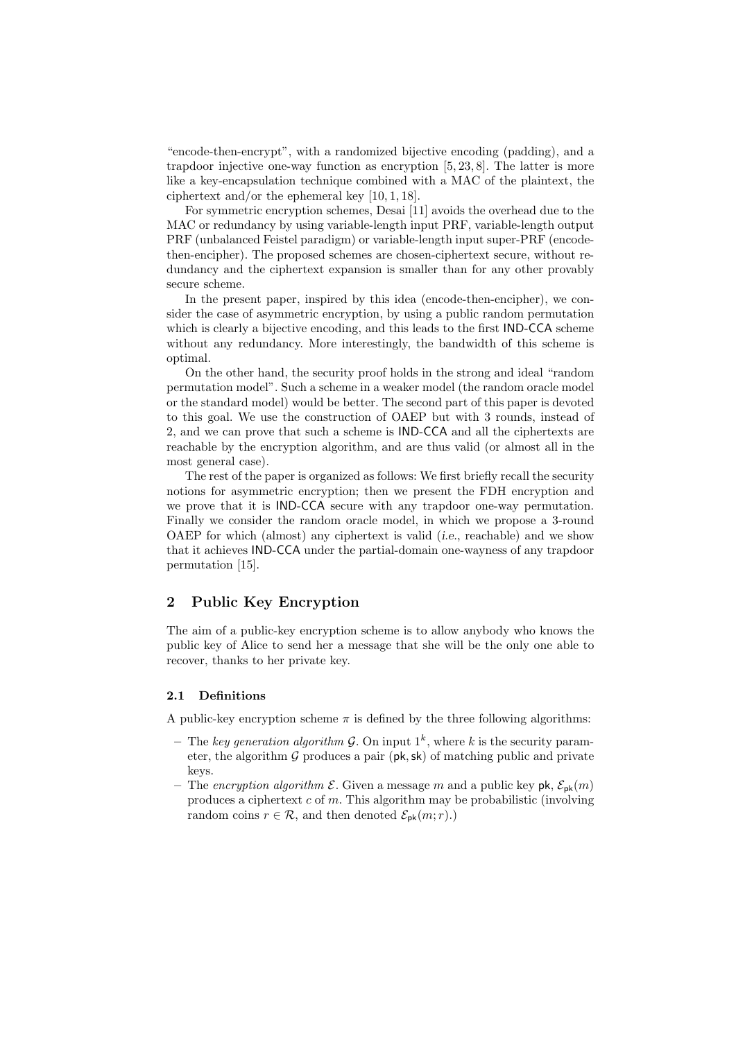"encode-then-encrypt", with a randomized bijective encoding (padding), and a trapdoor injective one-way function as encryption [5, 23, 8]. The latter is more like a key-encapsulation technique combined with a MAC of the plaintext, the ciphertext and/or the ephemeral key [10, 1, 18].

For symmetric encryption schemes, Desai [11] avoids the overhead due to the MAC or redundancy by using variable-length input PRF, variable-length output PRF (unbalanced Feistel paradigm) or variable-length input super-PRF (encodethen-encipher). The proposed schemes are chosen-ciphertext secure, without redundancy and the ciphertext expansion is smaller than for any other provably secure scheme.

In the present paper, inspired by this idea (encode-then-encipher), we consider the case of asymmetric encryption, by using a public random permutation which is clearly a bijective encoding, and this leads to the first **IND-CCA** scheme without any redundancy. More interestingly, the bandwidth of this scheme is optimal.

On the other hand, the security proof holds in the strong and ideal "random permutation model". Such a scheme in a weaker model (the random oracle model or the standard model) would be better. The second part of this paper is devoted to this goal. We use the construction of OAEP but with 3 rounds, instead of 2, and we can prove that such a scheme is IND-CCA and all the ciphertexts are reachable by the encryption algorithm, and are thus valid (or almost all in the most general case).

The rest of the paper is organized as follows: We first briefly recall the security notions for asymmetric encryption; then we present the FDH encryption and we prove that it is IND-CCA secure with any trapdoor one-way permutation. Finally we consider the random oracle model, in which we propose a 3-round OAEP for which (almost) any ciphertext is valid (i.e., reachable) and we show that it achieves IND-CCA under the partial-domain one-wayness of any trapdoor permutation [15].

## 2 Public Key Encryption

The aim of a public-key encryption scheme is to allow anybody who knows the public key of Alice to send her a message that she will be the only one able to recover, thanks to her private key.

#### 2.1 Definitions

A public-key encryption scheme  $\pi$  is defined by the three following algorithms:

- The key generation algorithm G. On input  $1^k$ , where k is the security parameter, the algorithm  $G$  produces a pair (pk, sk) of matching public and private keys.
- The encryption algorithm  $\mathcal{E}$ . Given a message m and a public key pk,  $\mathcal{E}_{\text{pk}}(m)$ produces a ciphertext  $c$  of  $m$ . This algorithm may be probabilistic (involving random coins  $r \in \mathcal{R}$ , and then denoted  $\mathcal{E}_{\text{pk}}(m;r)$ .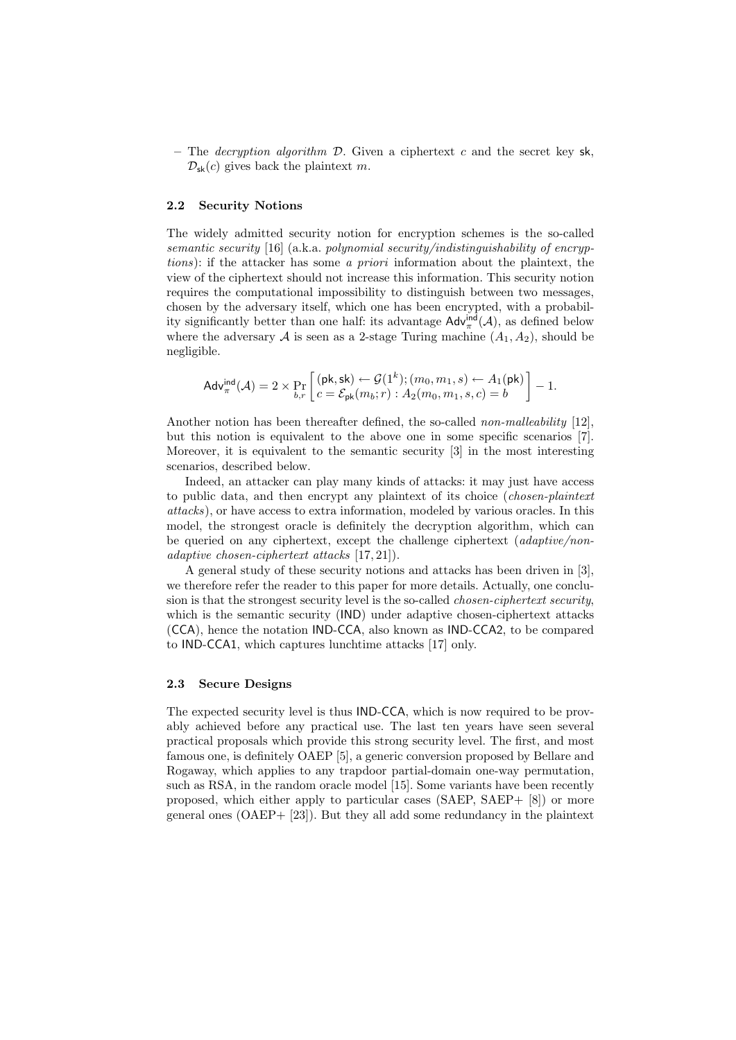– The *decryption algorithm*  $\mathcal{D}$ . Given a ciphertext c and the secret key sk,  $\mathcal{D}_{\mathsf{sk}}(c)$  gives back the plaintext m.

#### 2.2 Security Notions

The widely admitted security notion for encryption schemes is the so-called semantic security [16] (a.k.a. polynomial security/indistinguishability of encryptions): if the attacker has some a priori information about the plaintext, the view of the ciphertext should not increase this information. This security notion requires the computational impossibility to distinguish between two messages, chosen by the adversary itself, which one has been encrypted, with a probability significantly better than one half: its advantage  $\mathsf{Adv}_{\pi}^{\mathsf{ind}}(\mathcal{A})$ , as defined below where the adversary A is seen as a 2-stage Turing machine  $(A_1, A_2)$ , should be negligible.

$$
\mathsf{Adv}_{\pi}^{\mathsf{ind}}(\mathcal{A}) = 2 \times \Pr_{b,r} \left[ \left( \mathsf{pk} , \mathsf{sk} \right) \leftarrow \mathcal{G}(1^k); (m_0, m_1, s) \leftarrow A_1(\mathsf{pk}) \\ c = \mathcal{E}_{\mathsf{pk}}(m_b; r) : A_2(m_0, m_1, s, c) = b \right] - 1.
$$

Another notion has been thereafter defined, the so-called non-malleability [12], but this notion is equivalent to the above one in some specific scenarios [7]. Moreover, it is equivalent to the semantic security [3] in the most interesting scenarios, described below.

Indeed, an attacker can play many kinds of attacks: it may just have access to public data, and then encrypt any plaintext of its choice *(chosen-plaintext*) attacks), or have access to extra information, modeled by various oracles. In this model, the strongest oracle is definitely the decryption algorithm, which can be queried on any ciphertext, except the challenge ciphertext (adaptive/nonadaptive chosen-ciphertext attacks [17, 21]).

A general study of these security notions and attacks has been driven in [3], we therefore refer the reader to this paper for more details. Actually, one conclusion is that the strongest security level is the so-called chosen-ciphertext security, which is the semantic security (IND) under adaptive chosen-ciphertext attacks (CCA), hence the notation IND-CCA, also known as IND-CCA2, to be compared to IND-CCA1, which captures lunchtime attacks [17] only.

### 2.3 Secure Designs

The expected security level is thus IND-CCA, which is now required to be provably achieved before any practical use. The last ten years have seen several practical proposals which provide this strong security level. The first, and most famous one, is definitely OAEP [5], a generic conversion proposed by Bellare and Rogaway, which applies to any trapdoor partial-domain one-way permutation, such as RSA, in the random oracle model [15]. Some variants have been recently proposed, which either apply to particular cases (SAEP, SAEP+ [8]) or more general ones (OAEP+ [23]). But they all add some redundancy in the plaintext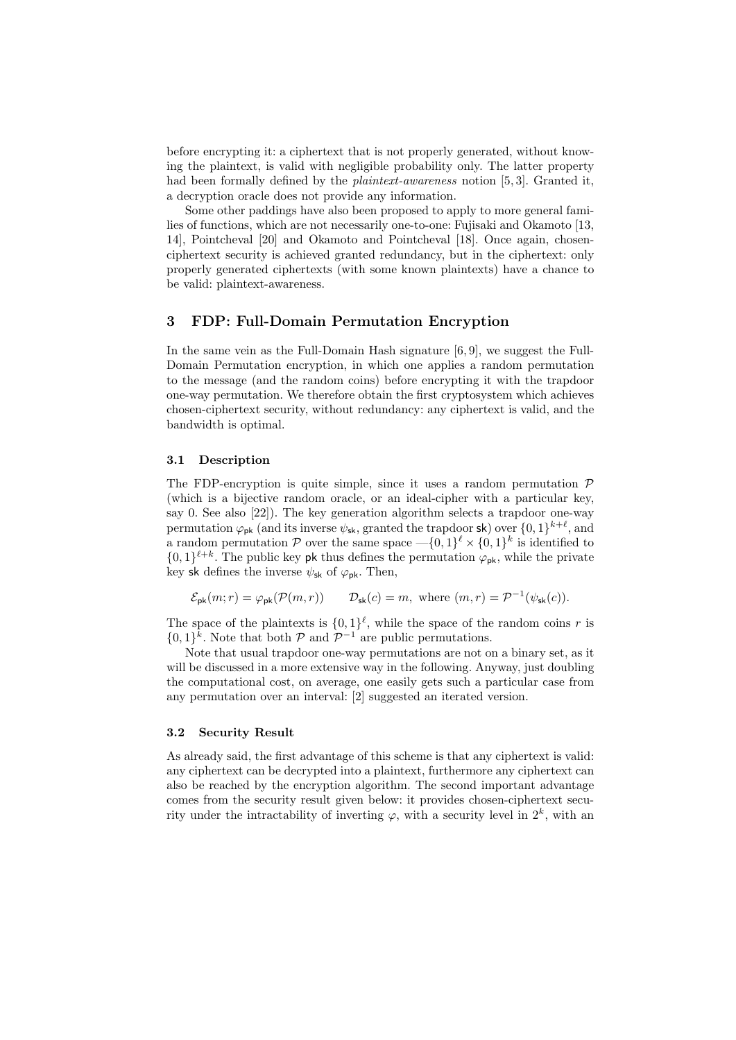before encrypting it: a ciphertext that is not properly generated, without knowing the plaintext, is valid with negligible probability only. The latter property had been formally defined by the *plaintext-awareness* notion [5,3]. Granted it, a decryption oracle does not provide any information.

Some other paddings have also been proposed to apply to more general families of functions, which are not necessarily one-to-one: Fujisaki and Okamoto [13, 14], Pointcheval [20] and Okamoto and Pointcheval [18]. Once again, chosenciphertext security is achieved granted redundancy, but in the ciphertext: only properly generated ciphertexts (with some known plaintexts) have a chance to be valid: plaintext-awareness.

## 3 FDP: Full-Domain Permutation Encryption

In the same vein as the Full-Domain Hash signature [6, 9], we suggest the Full-Domain Permutation encryption, in which one applies a random permutation to the message (and the random coins) before encrypting it with the trapdoor one-way permutation. We therefore obtain the first cryptosystem which achieves chosen-ciphertext security, without redundancy: any ciphertext is valid, and the bandwidth is optimal.

### 3.1 Description

The FDP-encryption is quite simple, since it uses a random permutation  $P$ (which is a bijective random oracle, or an ideal-cipher with a particular key, say 0. See also [22]). The key generation algorithm selects a trapdoor one-way permutation  $\varphi_{\rm pk}$  (and its inverse  $\psi_{\rm sk}$ , granted the trapdoor sk) over  $\{0,1\}^{k+\ell}$ , and a random permutation P over the same space  $-\{0,1\}^{\ell} \times \{0,1\}^k$  is identified to  $\{0,1\}^{\ell+k}$ . The public key pk thus defines the permutation  $\varphi_{\rm pk}$ , while the private key sk defines the inverse  $\psi_{sk}$  of  $\varphi_{pk}$ . Then,

$$
\mathcal{E}_{\mathsf{pk}}(m;r) = \varphi_{\mathsf{pk}}(\mathcal{P}(m,r)) \qquad \mathcal{D}_{\mathsf{sk}}(c) = m, \text{ where } (m,r) = \mathcal{P}^{-1}(\psi_{\mathsf{sk}}(c)).
$$

The space of the plaintexts is  $\{0,1\}^{\ell}$ , while the space of the random coins r is  $\{0,1\}^k$ . Note that both  $\mathcal{P}$  and  $\mathcal{P}^{-1}$  are public permutations.

Note that usual trapdoor one-way permutations are not on a binary set, as it will be discussed in a more extensive way in the following. Anyway, just doubling the computational cost, on average, one easily gets such a particular case from any permutation over an interval: [2] suggested an iterated version.

### 3.2 Security Result

As already said, the first advantage of this scheme is that any ciphertext is valid: any ciphertext can be decrypted into a plaintext, furthermore any ciphertext can also be reached by the encryption algorithm. The second important advantage comes from the security result given below: it provides chosen-ciphertext security under the intractability of inverting  $\varphi$ , with a security level in  $2^k$ , with an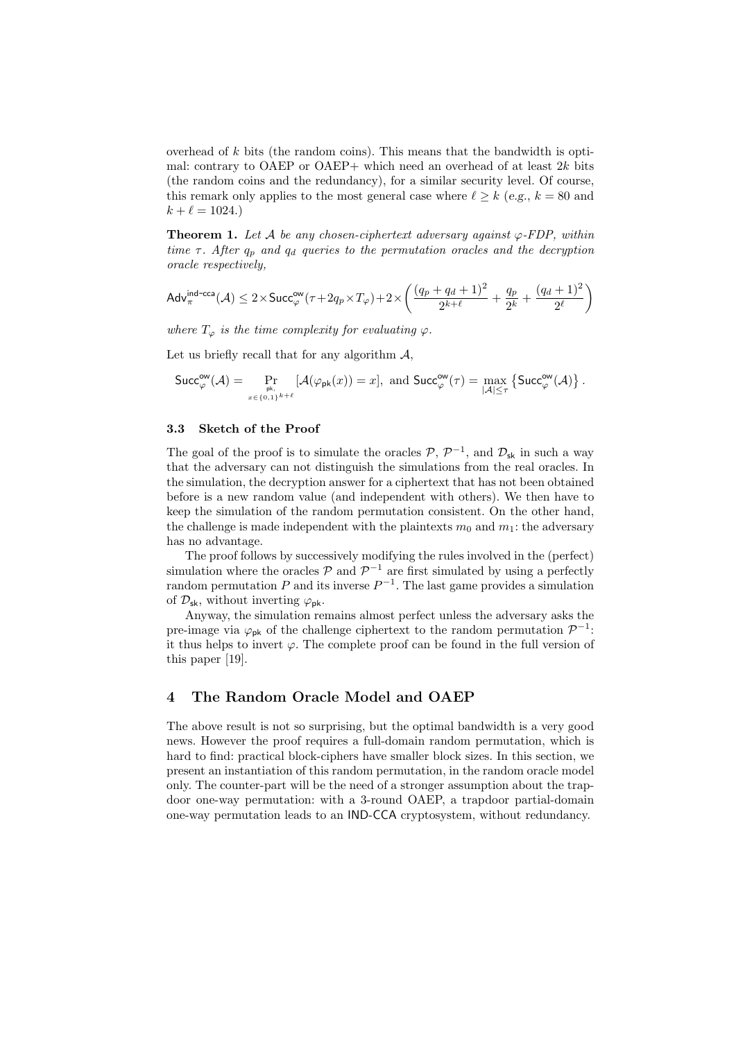overhead of  $k$  bits (the random coins). This means that the bandwidth is optimal: contrary to OAEP or OAEP+ which need an overhead of at least  $2k$  bits (the random coins and the redundancy), for a similar security level. Of course, this remark only applies to the most general case where  $\ell \geq k$  (e.g.,  $k = 80$  and  $k + \ell = 1024.$ 

**Theorem 1.** Let A be any chosen-ciphertext adversary against  $\varphi$ -FDP, within time  $\tau$ . After  $q_p$  and  $q_d$  queries to the permutation oracles and the decryption oracle respectively,

$$
\mathsf{Adv}_{\pi}^{\mathsf{ind}\text{-}\mathsf{cca}}(\mathcal{A}) \leq 2 \times \mathsf{Succ}_{\varphi}^{\mathsf{ow}}(\tau + 2q_p \times T_{\varphi}) + 2 \times \left( \frac{(q_p + q_d + 1)^2}{2^{k + \ell}} + \frac{q_p}{2^k} + \frac{(q_d + 1)^2}{2^{\ell}} \right)
$$

where  $T_{\varphi}$  is the time complexity for evaluating  $\varphi$ .

Let us briefly recall that for any algorithm  $A$ ,

$$
\mathsf{Succ}^{\mathsf{ow}}_{\varphi}(\mathcal{A}) = \Pr_{p_{\mathsf{K}, \atop x \in \{0,1\}^{k+ \ell}}} [\mathcal{A}(\varphi_{\mathsf{pk}}(x)) = x], \text{ and } \mathsf{Succ}^{\mathsf{ow}}_{\varphi}(\tau) = \max_{|\mathcal{A}| \leq \tau} \left\{ \mathsf{Succ}^{\mathsf{ow}}_{\varphi}(\mathcal{A}) \right\}.
$$

### 3.3 Sketch of the Proof

The goal of the proof is to simulate the oracles  $P, P^{-1}$ , and  $\mathcal{D}_{sk}$  in such a way that the adversary can not distinguish the simulations from the real oracles. In the simulation, the decryption answer for a ciphertext that has not been obtained before is a new random value (and independent with others). We then have to keep the simulation of the random permutation consistent. On the other hand, the challenge is made independent with the plaintexts  $m_0$  and  $m_1$ : the adversary has no advantage.

The proof follows by successively modifying the rules involved in the (perfect) simulation where the oracles  $P$  and  $P^{-1}$  are first simulated by using a perfectly random permutation P and its inverse  $P^{-1}$ . The last game provides a simulation of  $\mathcal{D}_{\mathsf{sk}}$ , without inverting  $\varphi_{\mathsf{pk}}$ .

Anyway, the simulation remains almost perfect unless the adversary asks the pre-image via  $\varphi_{\rm pk}$  of the challenge ciphertext to the random permutation  $\mathcal{P}^{-1}$ : it thus helps to invert  $\varphi$ . The complete proof can be found in the full version of this paper [19].

## 4 The Random Oracle Model and OAEP

The above result is not so surprising, but the optimal bandwidth is a very good news. However the proof requires a full-domain random permutation, which is hard to find: practical block-ciphers have smaller block sizes. In this section, we present an instantiation of this random permutation, in the random oracle model only. The counter-part will be the need of a stronger assumption about the trapdoor one-way permutation: with a 3-round OAEP, a trapdoor partial-domain one-way permutation leads to an IND-CCA cryptosystem, without redundancy.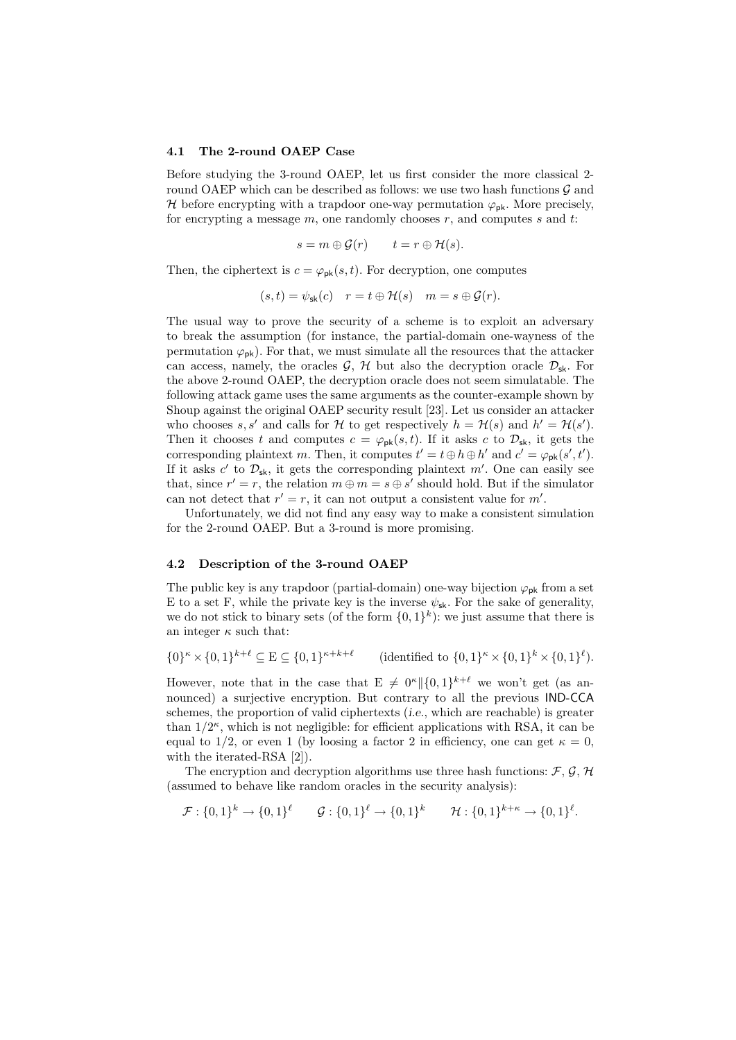#### 4.1 The 2-round OAEP Case

Before studying the 3-round OAEP, let us first consider the more classical 2 round OAEP which can be described as follows: we use two hash functions  $\mathcal G$  and H before encrypting with a trapdoor one-way permutation  $\varphi_{\rm pk}$ . More precisely, for encrypting a message  $m$ , one randomly chooses  $r$ , and computes  $s$  and  $t$ :

$$
s = m \oplus \mathcal{G}(r) \qquad t = r \oplus \mathcal{H}(s).
$$

Then, the ciphertext is  $c = \varphi_{\text{pk}}(s, t)$ . For decryption, one computes

$$
(s,t) = \psi_{\mathsf{sk}}(c) \quad r = t \oplus \mathcal{H}(s) \quad m = s \oplus \mathcal{G}(r).
$$

The usual way to prove the security of a scheme is to exploit an adversary to break the assumption (for instance, the partial-domain one-wayness of the permutation  $\varphi_{\rm pk}$ ). For that, we must simulate all the resources that the attacker can access, namely, the oracles  $G, H$  but also the decryption oracle  $\mathcal{D}_{sk}$ . For the above 2-round OAEP, the decryption oracle does not seem simulatable. The following attack game uses the same arguments as the counter-example shown by Shoup against the original OAEP security result [23]. Let us consider an attacker who chooses s, s' and calls for H to get respectively  $h = H(s)$  and  $h' = H(s')$ . Then it chooses t and computes  $c = \varphi_{\rm pk}(s, t)$ . If it asks c to  $\mathcal{D}_{\rm sk}$ , it gets the corresponding plaintext m. Then, it computes  $t' = t \oplus h \oplus h'$  and  $c' = \varphi_{\mathsf{pk}}(s', t')$ . If it asks  $c'$  to  $\mathcal{D}_{sk}$ , it gets the corresponding plaintext  $m'$ . One can easily see that, since  $r' = r$ , the relation  $m \oplus m = s \oplus s'$  should hold. But if the simulator can not detect that  $r' = r$ , it can not output a consistent value for m'.

Unfortunately, we did not find any easy way to make a consistent simulation for the 2-round OAEP. But a 3-round is more promising.

### 4.2 Description of the 3-round OAEP

The public key is any trapdoor (partial-domain) one-way bijection  $\varphi_{\text{ok}}$  from a set E to a set F, while the private key is the inverse  $\psi_{\rm sk}$ . For the sake of generality, we do not stick to binary sets (of the form  $\{0,1\}^k$ ): we just assume that there is an integer  $\kappa$  such that:

$$
\{0\}^{\kappa} \times \{0,1\}^{k+\ell} \subseteq E \subseteq \{0,1\}^{\kappa+k+\ell} \qquad \text{(identified to } \{0,1\}^{\kappa} \times \{0,1\}^k \times \{0,1\}^{\ell}).
$$

However, note that in the case that  $E \neq 0^{\kappa} \|\{0, 1\}^{k+\ell}$  we won't get (as announced) a surjective encryption. But contrary to all the previous IND-CCA schemes, the proportion of valid ciphertexts (i.e., which are reachable) is greater than  $1/2^{\kappa}$ , which is not negligible: for efficient applications with RSA, it can be equal to 1/2, or even 1 (by loosing a factor 2 in efficiency, one can get  $\kappa = 0$ , with the iterated-RSA [2]).

The encryption and decryption algorithms use three hash functions:  $\mathcal{F}, \mathcal{G}, \mathcal{H}$ (assumed to behave like random oracles in the security analysis):

$$
\mathcal{F}: \{0,1\}^k \to \{0,1\}^\ell \qquad \mathcal{G}: \{0,1\}^\ell \to \{0,1\}^k \qquad \mathcal{H}: \{0,1\}^{k+\kappa} \to \{0,1\}^\ell.
$$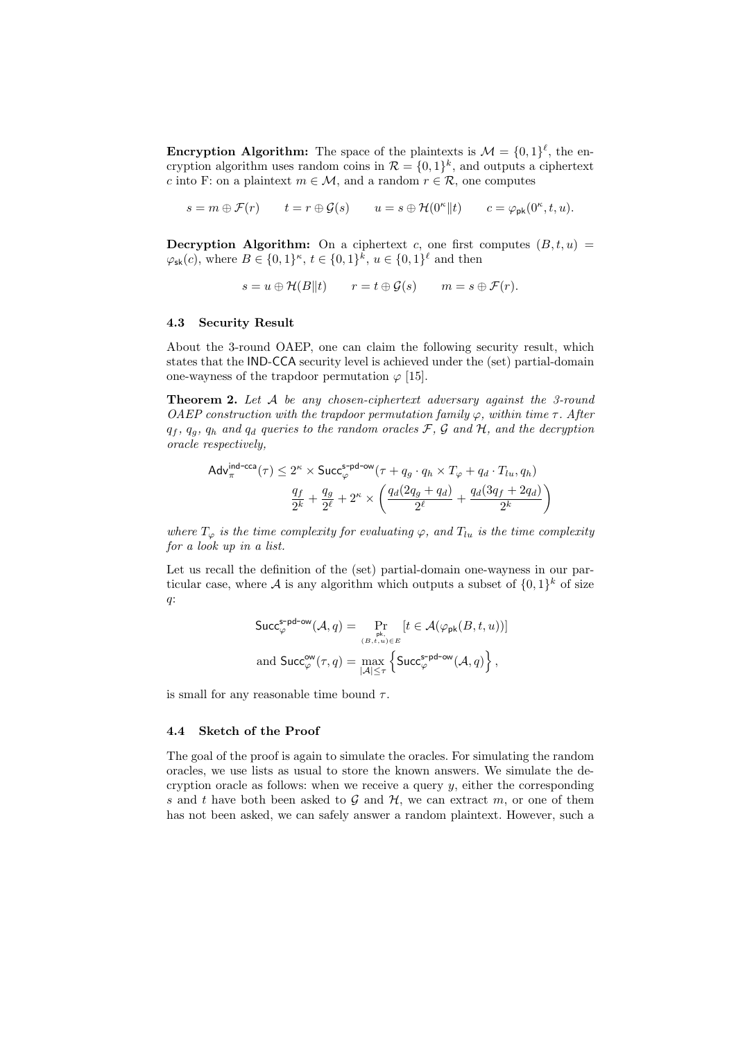**Encryption Algorithm:** The space of the plaintexts is  $\mathcal{M} = \{0, 1\}^{\ell}$ , the encryption algorithm uses random coins in  $\mathcal{R} = \{0,1\}^k$ , and outputs a ciphertext c into F: on a plaintext  $m \in \mathcal{M}$ , and a random  $r \in \mathcal{R}$ , one computes

 $s = m \oplus \mathcal{F}(r)$   $t = r \oplus \mathcal{G}(s)$   $u = s \oplus \mathcal{H}(0^{\kappa}||t)$   $c = \varphi_{\mathsf{pk}}(0^{\kappa}, t, u)$ .

**Decryption Algorithm:** On a ciphertext c, one first computes  $(B, t, u)$  =  $\varphi_{\rm sk}(c)$ , where  $B \in \{0,1\}^{\kappa}$ ,  $t \in \{0,1\}^k$ ,  $u \in \{0,1\}^{\ell}$  and then

$$
s = u \oplus \mathcal{H}(B||t) \qquad r = t \oplus \mathcal{G}(s) \qquad m = s \oplus \mathcal{F}(r).
$$

#### 4.3 Security Result

About the 3-round OAEP, one can claim the following security result, which states that the IND-CCA security level is achieved under the (set) partial-domain one-wayness of the trapdoor permutation  $\varphi$  [15].

Theorem 2. Let A be any chosen-ciphertext adversary against the 3-round OAEP construction with the trapdoor permutation family  $\varphi$ , within time  $\tau$ . After  $q_f, q_g, q_h$  and  $q_d$  queries to the random oracles F, G and H, and the decryption oracle respectively,

$$
\begin{aligned} \mathsf{Adv}_{\pi}^{\mathsf{ind}\text{-}\mathsf{cca}}(\tau) & \leq 2^{\kappa} \times \mathsf{Succ}^{\mathsf{s}\text{-}\mathsf{pd}\text{-}\mathsf{ow}}_{\varphi}(\tau + q_g \cdot q_h \times T_{\varphi} + q_d \cdot T_{lu}, q_h) \\ & \frac{q_f}{2^k} + \frac{q_g}{2^{\ell}} + 2^{\kappa} \times \left( \frac{q_d(2q_g + q_d)}{2^{\ell}} + \frac{q_d(3q_f + 2q_d)}{2^k} \right) \end{aligned}
$$

where  $T_{\varphi}$  is the time complexity for evaluating  $\varphi$ , and  $T_{lu}$  is the time complexity for a look up in a list.

Let us recall the definition of the (set) partial-domain one-wayness in our particular case, where A is any algorithm which outputs a subset of  $\{0,1\}^k$  of size q:

$$
\begin{aligned} \mathrm{Succ}^{\mathsf{s}\text{-}\mathsf{pd\text{-}}\mathsf{ow}}_\varphi(\mathcal{A},q) = \Pr_{\mathsf{pk}, \atop (\mathcal{B},t,u) \in E} \left[ t \in \mathcal{A}(\varphi_{\mathsf{pk}}(\mathcal{B},t,u)) \right] \\ \text{and } \mathrm{Succ}^{\mathsf{ow}}_\varphi(\tau,q) = \max_{|\mathcal{A}| \leq \tau} \Big\{ \mathrm{Succ}^{\mathsf{s}\text{-}\mathsf{pd\text{-}}\mathsf{ow}}_\varphi(\mathcal{A},q) \Big\} \,, \end{aligned}
$$

is small for any reasonable time bound  $\tau$ .

#### 4.4 Sketch of the Proof

The goal of the proof is again to simulate the oracles. For simulating the random oracles, we use lists as usual to store the known answers. We simulate the decryption oracle as follows: when we receive a query  $y$ , either the corresponding s and t have both been asked to  $\mathcal G$  and  $\mathcal H$ , we can extract m, or one of them has not been asked, we can safely answer a random plaintext. However, such a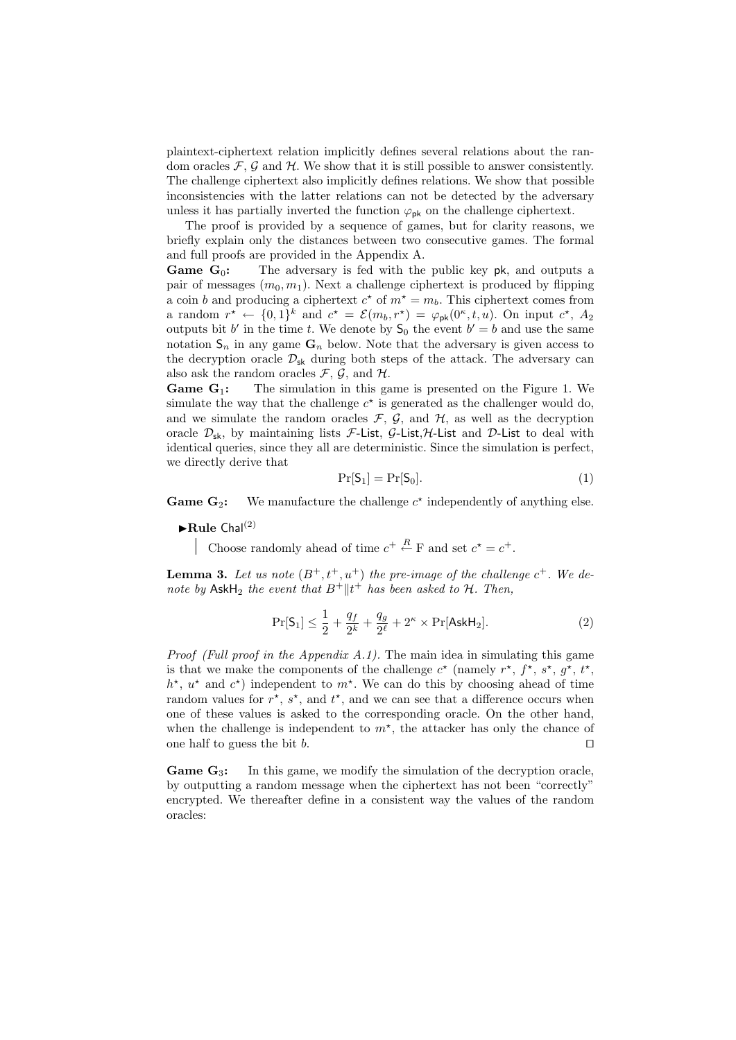plaintext-ciphertext relation implicitly defines several relations about the random oracles  $\mathcal{F}, \mathcal{G}$  and  $\mathcal{H}$ . We show that it is still possible to answer consistently. The challenge ciphertext also implicitly defines relations. We show that possible inconsistencies with the latter relations can not be detected by the adversary unless it has partially inverted the function  $\varphi_{\rm pk}$  on the challenge ciphertext.

The proof is provided by a sequence of games, but for clarity reasons, we briefly explain only the distances between two consecutive games. The formal and full proofs are provided in the Appendix A.

**Game G<sub>0</sub>:** The adversary is fed with the public key pk, and outputs a pair of messages  $(m_0, m_1)$ . Next a challenge ciphertext is produced by flipping a coin b and producing a ciphertext  $c^*$  of  $m^* = m_b$ . This ciphertext comes from a random  $r^* \leftarrow \{0,1\}^k$  and  $c^* = \mathcal{E}(m_b, r^*) = \varphi_{\text{pk}}(0^{\kappa}, t, u)$ . On input  $c^*$ ,  $A_2$ outputs bit b' in the time t. We denote by  $S_0$  the event  $b' = b$  and use the same notation  $S_n$  in any game  $G_n$  below. Note that the adversary is given access to the decryption oracle  $\mathcal{D}_{sk}$  during both steps of the attack. The adversary can also ask the random oracles  $\mathcal{F}, \mathcal{G}$ , and  $\mathcal{H}$ .

**Game**  $G_1$ **:** The simulation in this game is presented on the Figure 1. We simulate the way that the challenge  $c^*$  is generated as the challenger would do, and we simulate the random oracles  $\mathcal{F}$ ,  $\mathcal{G}$ , and  $\mathcal{H}$ , as well as the decryption oracle  $\mathcal{D}_{sk}$ , by maintaining lists *F*-List, *G*-List, *H*-List and *D*-List to deal with identical queries, since they all are deterministic. Since the simulation is perfect, we directly derive that

$$
\Pr[S_1] = \Pr[S_0].\tag{1}
$$

**Game G<sub>2</sub>:** We manufacture the challenge  $c^*$  independently of anything else.

 $\blacktriangleright$ Rule Chal<sup>(2)</sup>

Choose randomly ahead of time  $c^+ \stackrel{R}{\leftarrow}$  F and set  $c^* = c^+$ .

**Lemma 3.** Let us note  $(B^+, t^+, u^+)$  the pre-image of the challenge  $c^+$ . We denote by  $\mathsf{AskH}_2$  the event that  $B^+||t^+$  has been asked to  $\mathcal H$ . Then,

$$
\Pr[S_1] \le \frac{1}{2} + \frac{q_f}{2^k} + \frac{q_g}{2^{\ell}} + 2^{\kappa} \times \Pr[\mathsf{AskH}_2].
$$
 (2)

Proof (Full proof in the Appendix A.1). The main idea in simulating this game is that we make the components of the challenge  $c^*$  (namely  $r^*$ ,  $f^*$ ,  $s^*$ ,  $g^*$ ,  $t^*$ ,  $h^*$ ,  $u^*$  and  $c^*$ ) independent to  $m^*$ . We can do this by choosing ahead of time random values for  $r^*$ ,  $s^*$ , and  $t^*$ , and we can see that a difference occurs when one of these values is asked to the corresponding oracle. On the other hand, when the challenge is independent to  $m^*$ , the attacker has only the chance of one half to guess the bit  $b$ .

**Game**  $G_3$ **:** In this game, we modify the simulation of the decryption oracle, by outputting a random message when the ciphertext has not been "correctly" encrypted. We thereafter define in a consistent way the values of the random oracles: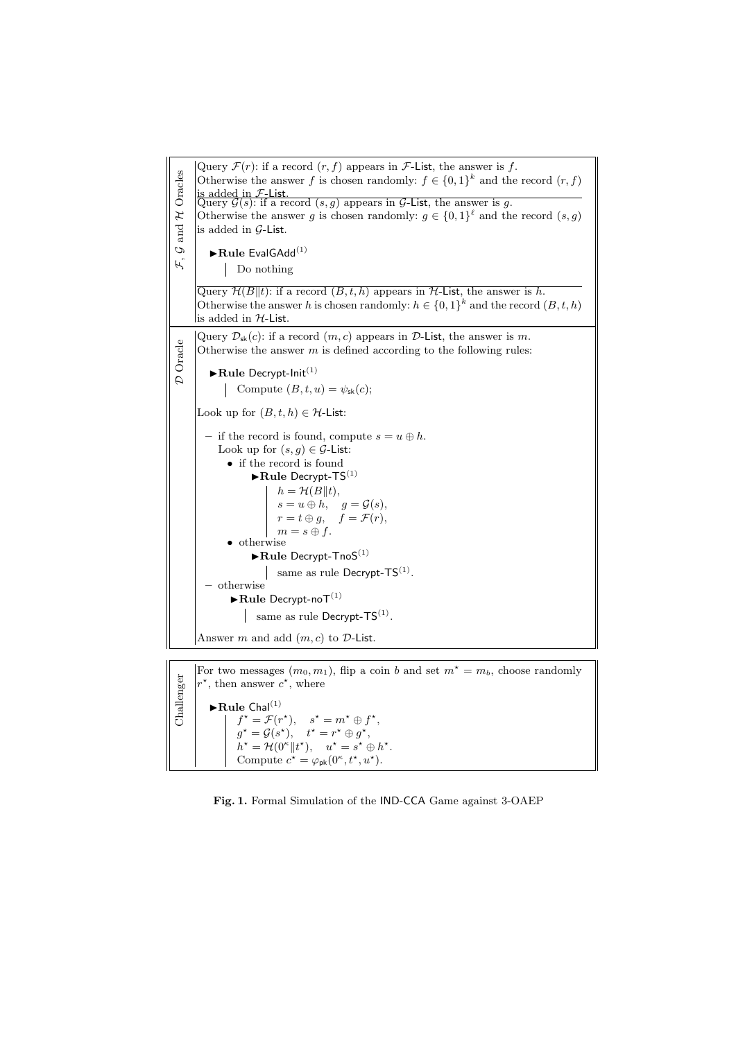```
{\cal F},\,{\cal G} \;{\rm and}H Oracles
 Query \mathcal{F}(r): if a record (r, f) appears in \mathcal{F}-List, the answer is f.
 Otherwise the answer f is chosen randomly: f \in \{0,1\}^k and the record (r, f)is added in \mathcal{F}\text{-List}.<br>Query \mathcal{G}(s): if a record (s, g) appears in \mathcal{G}\text{-List}, the answer is g.
 Otherwise the answer g is chosen randomly: g \in \{0,1\}^{\ell} and the record (s,g)is added in G-List.
    \blacktriangleright Rule EvalGAdd<sup>(1)</sup>
        | Do nothing
 Query \mathcal{H}(B||t): if a record (B, t, h) appears in \mathcal{H}\text{-List}, the answer is h.
 Otherwise the answer h is chosen randomly: h \in \{0,1\}^k and the record (B, t, h)\left| \text{is added in }\mathcal{H}\text{-List.}\right|\mathcal D Oracle
Query \mathcal{D}_{sk}(c): if a record (m, c) appears in \mathcal{D}-List, the answer is m.
Otherwise the answer m is defined according to the following rules:
    \blacktriangleright Rule Decrypt-Init<sup>(1)</sup>
        Compute (B, t, u) = \psi_{\rm sk}(c);Look up for (B, t, h) \in \mathcal{H}-List:
  – if the record is found, compute s = u \oplus h.
      Look up for (s, g) \in \mathcal{G}-List:
         \bullet\, if the record is found
                \blacktriangleright {\bf Rule} Decrypt-TS ^{(1)}h = \mathcal{H}(B||t),s = u \oplus h, \quad g = \mathcal{G}(s),r = t \oplus g, f = \mathcal{F}(r),
                      m = s \oplus f.
         \bullet\, otherwise
               \blacktriangleright Rule Decrypt-TnoS<sup>(1)</sup>
                        same as rule Decrypt-TS^{(1)}.
  – otherwise
          \blacktriangleright {\bf Rule}Decrypt-no{\sf T}^{(1)}same as rule Decrypt-TS^{(1)}.
 Answer m and add (m, c) to D-List.
For two messages (m_0, m_1), flip a coin b and set m^* = m_b, choose randomly
 r^*, then answer c^*, where
```

```
Challenger
         \blacktriangleright Rule Chal<sup>(1)</sup>
                     f^* = \mathcal{F}(r^*), \quad s^* = m^* \oplus f^*g^* = \mathcal{G}(s^*), \quad t^* = r^* \oplus g^*,h^* = \mathcal{H}(0^{\kappa}||t^*), \quad u^* = s^* \oplus h^*.Compute c^* = \varphi_{\rm pk}(0^{\kappa}, t^*, u^*).
```
Fig. 1. Formal Simulation of the IND-CCA Game against 3-OAEP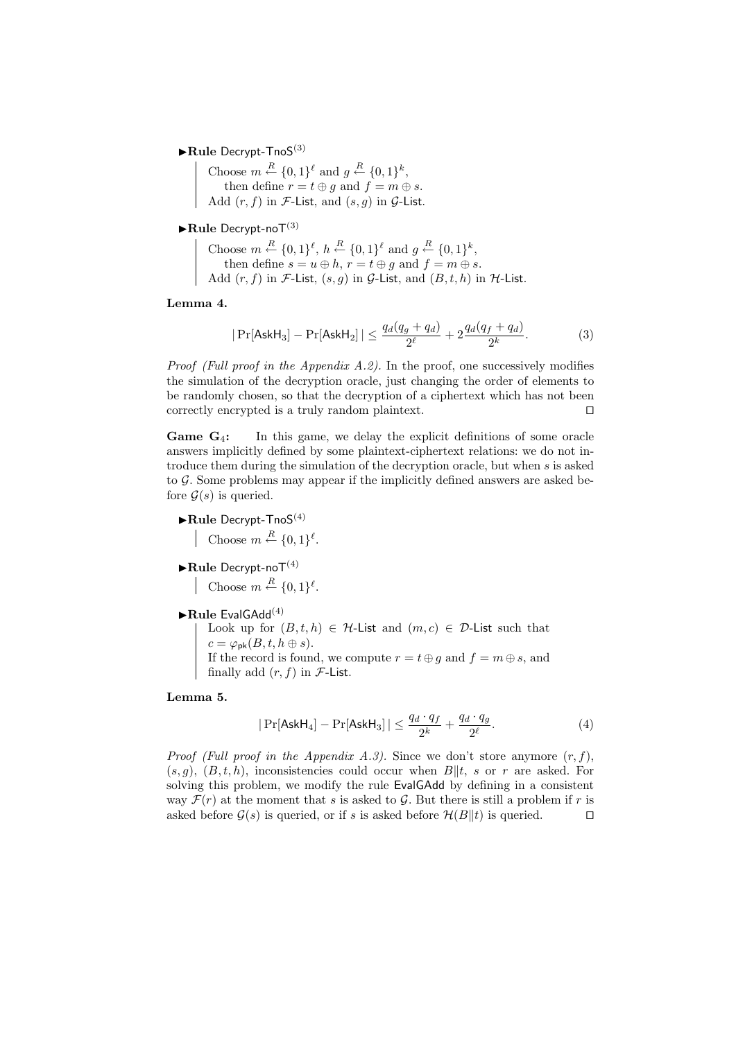$\blacktriangleright$  Rule Decrypt-TnoS<sup>(3)</sup>

Choose  $m \stackrel{R}{\leftarrow} \{0,1\}^{\ell}$  and  $g \stackrel{R}{\leftarrow} \{0,1\}^k$ , then define  $r = t \oplus g$  and  $f = m \oplus s$ . Add  $(r, f)$  in F-List, and  $(s, g)$  in G-List.

## $\blacktriangleright$ Rule Decrypt-no $T^{(3)}$

Choose  $m \stackrel{R}{\leftarrow} \{0,1\}^{\ell}, h \stackrel{R}{\leftarrow} \{0,1\}^{\ell}$  and  $g \stackrel{R}{\leftarrow} \{0,1\}^k$ , then define  $s = u \oplus h$ ,  $r = t \oplus g$  and  $f = m \oplus s$ . Add  $(r, f)$  in F-List,  $(s, g)$  in G-List, and  $(B, t, h)$  in H-List.

Lemma 4.

$$
|\Pr[\text{AskH}_3] - \Pr[\text{AskH}_2]| \le \frac{q_d(q_g + q_d)}{2^{\ell}} + 2\frac{q_d(q_f + q_d)}{2^k}.
$$
 (3)

*Proof (Full proof in the Appendix A.2).* In the proof, one successively modifies the simulation of the decryption oracle, just changing the order of elements to be randomly chosen, so that the decryption of a ciphertext which has not been correctly encrypted is a truly random plaintext.  $\square$ 

Game  $G_4$ : In this game, we delay the explicit definitions of some oracle answers implicitly defined by some plaintext-ciphertext relations: we do not introduce them during the simulation of the decryption oracle, but when  $s$  is asked to  $\mathcal G$ . Some problems may appear if the implicitly defined answers are asked before  $G(s)$  is queried.

## $\blacktriangleright$ Rule Decrypt-TnoS<sup>(4)</sup>

Choose  $m \stackrel{R}{\leftarrow} \{0,1\}^{\ell}$ .

## $\blacktriangleright$ Rule Decrypt-no $\mathsf{T}^{(4)}$

Choose  $m \stackrel{R}{\leftarrow} \{0,1\}^{\ell}$ .

## $\blacktriangleright$ Rule EvalGAdd<sup>(4)</sup>

Look up for  $(B, t, h) \in H$ -List and  $(m, c) \in D$ -List such that  $c = \varphi_{\rm pk}(B, t, h \oplus s).$ If the record is found, we compute  $r = t \oplus g$  and  $f = m \oplus s$ , and finally add  $(r, f)$  in  $\mathcal{F}\text{-List}$ .

### Lemma 5.

$$
|\Pr[\mathsf{AskH}_4] - \Pr[\mathsf{AskH}_3]| \le \frac{q_d \cdot q_f}{2^k} + \frac{q_d \cdot q_g}{2^\ell}.\tag{4}
$$

*Proof (Full proof in the Appendix A.3).* Since we don't store anymore  $(r, f)$ ,  $(s, g)$ ,  $(B, t, h)$ , inconsistencies could occur when  $B||t$ , s or r are asked. For solving this problem, we modify the rule EvalGAdd by defining in a consistent way  $\mathcal{F}(r)$  at the moment that s is asked to G. But there is still a problem if r is asked before  $\mathcal{G}(s)$  is queried, or if s is asked before  $\mathcal{H}(B||t)$  is queried.  $\square$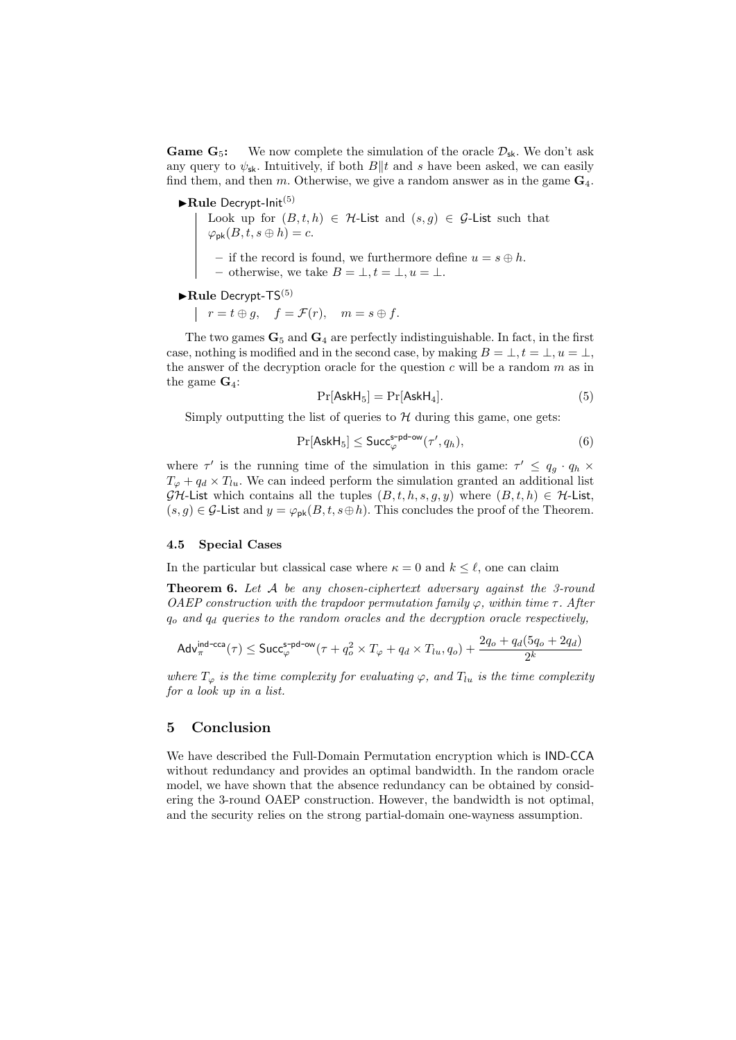**Game G<sub>5</sub>:** We now complete the simulation of the oracle  $\mathcal{D}_{sk}$ . We don't ask any query to  $\psi_{\rm sk}$ . Intuitively, if both  $B||t$  and s have been asked, we can easily find them, and then  $m$ . Otherwise, we give a random answer as in the game  $\mathbf{G}_4$ .

## $\blacktriangleright$  Rule Decrypt-Init<sup>(5)</sup>

Look up for  $(B, t, h) \in H$ -List and  $(s, g) \in G$ -List such that  $\varphi_{\rm pk}(B, t, s \oplus h) = c.$ 

– if the record is found, we furthermore define  $u = s \oplus h$ .

– otherwise, we take  $B = \bot, t = \bot, u = \bot$ .

## $\blacktriangleright$ Rule Decrypt-TS<sup>(5)</sup>

 $r = t \oplus g, \quad f = \mathcal{F}(r), \quad m = s \oplus f.$ 

The two games  $\mathbf{G}_5$  and  $\mathbf{G}_4$  are perfectly indistinguishable. In fact, in the first case, nothing is modified and in the second case, by making  $B = \bot, t = \bot, u = \bot$ , the answer of the decryption oracle for the question  $c$  will be a random  $m$  as in the game  $\mathbf{G}_4$ :

$$
Pr[AskH_5] = Pr[AskH_4].
$$
\n(5)

Simply outputting the list of queries to  $H$  during this game, one gets:

$$
\Pr[\mathsf{AskH}_5] \leq \mathsf{Succ}_{\varphi}^{\mathsf{s-pd-ow}}(\tau', q_h),\tag{6}
$$

where  $\tau'$  is the running time of the simulation in this game:  $\tau' \leq q_g \cdot q_h \times$  $T_{\varphi} + q_d \times T_{lu}$ . We can indeed perform the simulation granted an additional list GH-List which contains all the tuples  $(B, t, h, s, g, y)$  where  $(B, t, h) \in H$ -List,  $(s, g) \in \mathcal{G}$ -List and  $y = \varphi_{\text{pk}}(B, t, s \oplus h)$ . This concludes the proof of the Theorem.

### 4.5 Special Cases

In the particular but classical case where  $\kappa = 0$  and  $k \leq \ell$ , one can claim

**Theorem 6.** Let  $A$  be any chosen-ciphertext adversary against the 3-round OAEP construction with the trapdoor permutation family  $\varphi$ , within time  $\tau$ . After  $q_o$  and  $q_d$  queries to the random oracles and the decryption oracle respectively,

$$
\mathsf{Adv}_{\pi}^{\mathsf{ind}\text{-}\mathsf{cca}}(\tau) \leq \mathsf{Succ}_{\varphi}^{\mathsf{s}\text{-}\mathsf{pd}\text{-}\mathsf{ow}}(\tau + q_o^2 \times T_\varphi + q_d \times T_{lu}, q_o) + \frac{2q_o + q_d(5q_o + 2q_d)}{2^k}
$$

where  $T_{\varphi}$  is the time complexity for evaluating  $\varphi$ , and  $T_{lu}$  is the time complexity for a look up in a list.

## 5 Conclusion

We have described the Full-Domain Permutation encryption which is IND-CCA without redundancy and provides an optimal bandwidth. In the random oracle model, we have shown that the absence redundancy can be obtained by considering the 3-round OAEP construction. However, the bandwidth is not optimal, and the security relies on the strong partial-domain one-wayness assumption.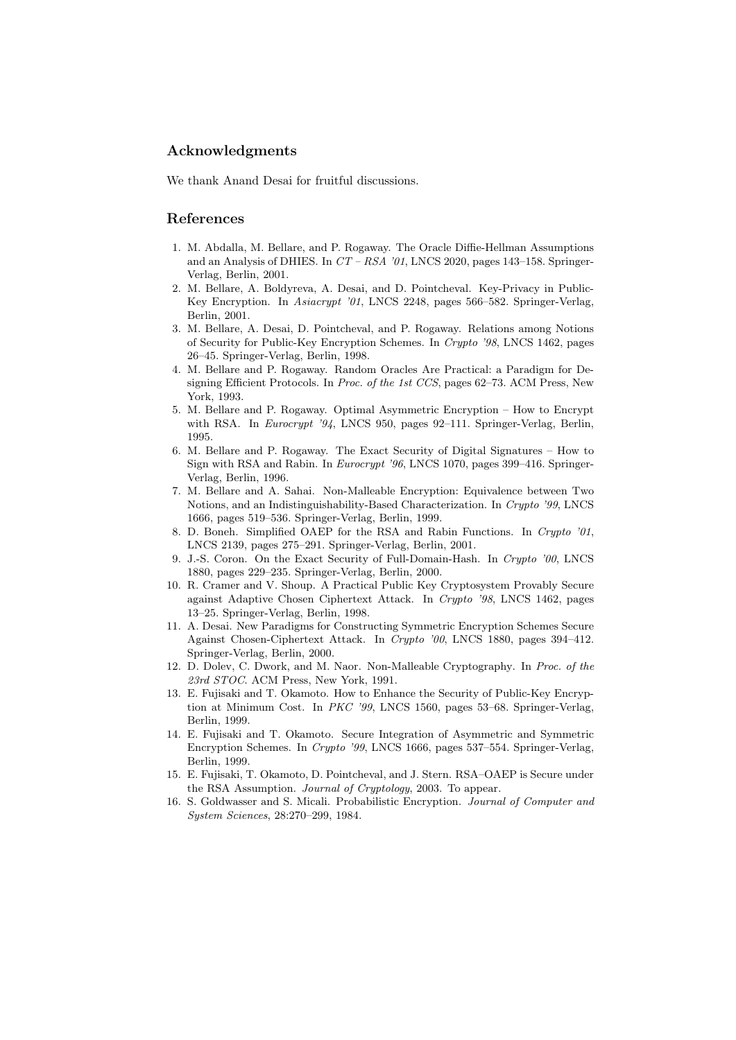## Acknowledgments

We thank Anand Desai for fruitful discussions.

### References

- 1. M. Abdalla, M. Bellare, and P. Rogaway. The Oracle Diffie-Hellman Assumptions and an Analysis of DHIES. In  $CT - RSA$  '01, LNCS 2020, pages 143–158. Springer-Verlag, Berlin, 2001.
- 2. M. Bellare, A. Boldyreva, A. Desai, and D. Pointcheval. Key-Privacy in Public-Key Encryption. In Asiacrypt '01, LNCS 2248, pages 566–582. Springer-Verlag, Berlin, 2001.
- 3. M. Bellare, A. Desai, D. Pointcheval, and P. Rogaway. Relations among Notions of Security for Public-Key Encryption Schemes. In Crypto '98, LNCS 1462, pages 26–45. Springer-Verlag, Berlin, 1998.
- 4. M. Bellare and P. Rogaway. Random Oracles Are Practical: a Paradigm for Designing Efficient Protocols. In Proc. of the 1st CCS, pages 62–73. ACM Press, New York, 1993.
- 5. M. Bellare and P. Rogaway. Optimal Asymmetric Encryption How to Encrypt with RSA. In *Eurocrypt '94*, LNCS 950, pages 92-111. Springer-Verlag, Berlin, 1995.
- 6. M. Bellare and P. Rogaway. The Exact Security of Digital Signatures How to Sign with RSA and Rabin. In Eurocrypt '96, LNCS 1070, pages 399–416. Springer-Verlag, Berlin, 1996.
- 7. M. Bellare and A. Sahai. Non-Malleable Encryption: Equivalence between Two Notions, and an Indistinguishability-Based Characterization. In Crypto '99, LNCS 1666, pages 519–536. Springer-Verlag, Berlin, 1999.
- 8. D. Boneh. Simplified OAEP for the RSA and Rabin Functions. In Crypto '01, LNCS 2139, pages 275–291. Springer-Verlag, Berlin, 2001.
- 9. J.-S. Coron. On the Exact Security of Full-Domain-Hash. In Crypto '00, LNCS 1880, pages 229–235. Springer-Verlag, Berlin, 2000.
- 10. R. Cramer and V. Shoup. A Practical Public Key Cryptosystem Provably Secure against Adaptive Chosen Ciphertext Attack. In Crypto '98, LNCS 1462, pages 13–25. Springer-Verlag, Berlin, 1998.
- 11. A. Desai. New Paradigms for Constructing Symmetric Encryption Schemes Secure Against Chosen-Ciphertext Attack. In Crypto '00, LNCS 1880, pages 394–412. Springer-Verlag, Berlin, 2000.
- 12. D. Dolev, C. Dwork, and M. Naor. Non-Malleable Cryptography. In Proc. of the 23rd STOC. ACM Press, New York, 1991.
- 13. E. Fujisaki and T. Okamoto. How to Enhance the Security of Public-Key Encryption at Minimum Cost. In PKC '99, LNCS 1560, pages 53–68. Springer-Verlag, Berlin, 1999.
- 14. E. Fujisaki and T. Okamoto. Secure Integration of Asymmetric and Symmetric Encryption Schemes. In Crypto '99, LNCS 1666, pages 537–554. Springer-Verlag, Berlin, 1999.
- 15. E. Fujisaki, T. Okamoto, D. Pointcheval, and J. Stern. RSA–OAEP is Secure under the RSA Assumption. Journal of Cryptology, 2003. To appear.
- 16. S. Goldwasser and S. Micali. Probabilistic Encryption. Journal of Computer and System Sciences, 28:270–299, 1984.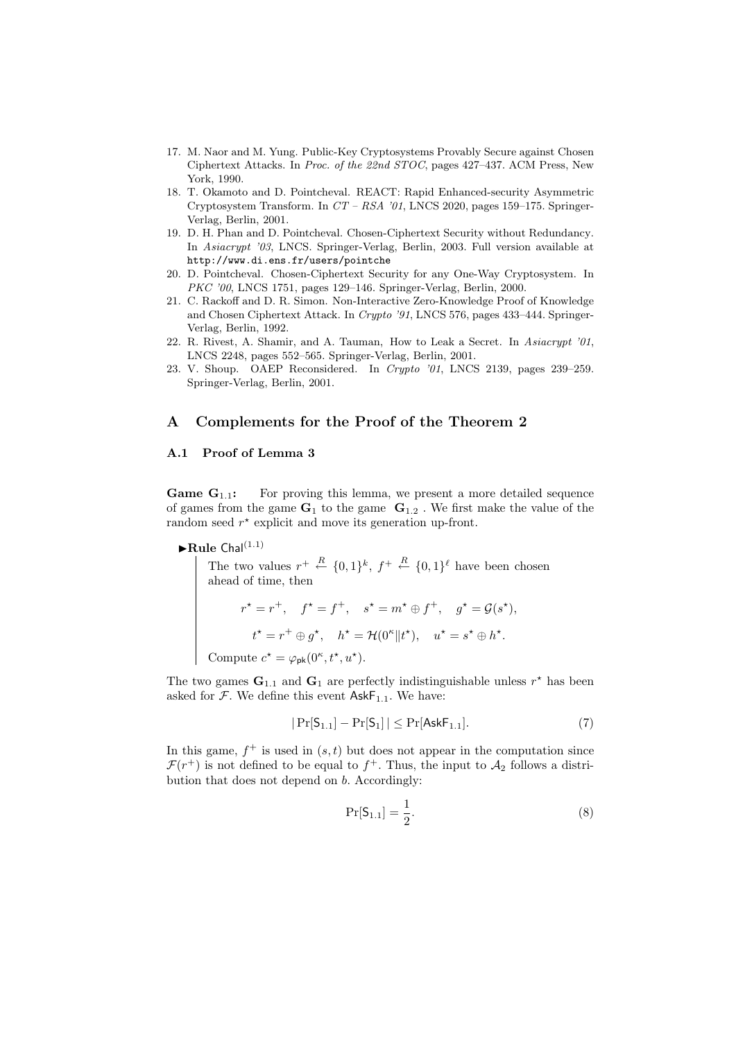- 17. M. Naor and M. Yung. Public-Key Cryptosystems Provably Secure against Chosen Ciphertext Attacks. In Proc. of the 22nd STOC, pages 427–437. ACM Press, New York, 1990.
- 18. T. Okamoto and D. Pointcheval. REACT: Rapid Enhanced-security Asymmetric Cryptosystem Transform. In CT – RSA '01, LNCS 2020, pages 159–175. Springer-Verlag, Berlin, 2001.
- 19. D. H. Phan and D. Pointcheval. Chosen-Ciphertext Security without Redundancy. In Asiacrypt '03, LNCS. Springer-Verlag, Berlin, 2003. Full version available at http://www.di.ens.fr/users/pointche
- 20. D. Pointcheval. Chosen-Ciphertext Security for any One-Way Cryptosystem. In PKC '00, LNCS 1751, pages 129–146. Springer-Verlag, Berlin, 2000.
- 21. C. Rackoff and D. R. Simon. Non-Interactive Zero-Knowledge Proof of Knowledge and Chosen Ciphertext Attack. In Crypto '91, LNCS 576, pages 433–444. Springer-Verlag, Berlin, 1992.
- 22. R. Rivest, A. Shamir, and A. Tauman, How to Leak a Secret. In Asiacrypt '01, LNCS 2248, pages 552–565. Springer-Verlag, Berlin, 2001.
- 23. V. Shoup. OAEP Reconsidered. In Crypto '01, LNCS 2139, pages 239–259. Springer-Verlag, Berlin, 2001.

### A Complements for the Proof of the Theorem 2

### A.1 Proof of Lemma 3

**Game**  $G_{1,1}$ **:** For proving this lemma, we present a more detailed sequence of games from the game  $G_1$  to the game  $G_{1,2}$ . We first make the value of the random seed  $r^*$  explicit and move its generation up-front.

 $\blacktriangleright$  Rule Chal $^{(1.1)}$ 

The two values 
$$
r^+ \stackrel{R}{\leftarrow} \{0,1\}^k
$$
,  $f^+ \stackrel{R}{\leftarrow} \{0,1\}^\ell$  have been chosen  
ahead of time, then  
 $r^* = r^+$ ,  $f^* = f^+$ ,  $s^* = m^* \oplus f^+$ ,  $g^* = \mathcal{G}(s^*)$ ,  
 $t^* = r^+ \oplus g^*$ ,  $h^* = \mathcal{H}(0^{\kappa}||t^*)$ ,  $u^* = s^* \oplus h^*$ .  
Compute  $c^* = \varphi_{\mathsf{pk}}(0^{\kappa}, t^*, u^*)$ .

The two games  $\mathbf{G}_{1,1}$  and  $\mathbf{G}_1$  are perfectly indistinguishable unless  $r^*$  has been asked for  $\mathcal F$ . We define this event  $\mathsf{AskF}_{1,1}$ . We have:

$$
|\Pr[S_{1.1}] - \Pr[S_1]| \le \Pr[AskF_{1.1}].\tag{7}
$$

In this game,  $f^+$  is used in  $(s, t)$  but does not appear in the computation since  $\mathcal{F}(r^+)$  is not defined to be equal to  $f^+$ . Thus, the input to  $\mathcal{A}_2$  follows a distribution that does not depend on b. Accordingly:

$$
\Pr[S_{1.1}] = \frac{1}{2}.\tag{8}
$$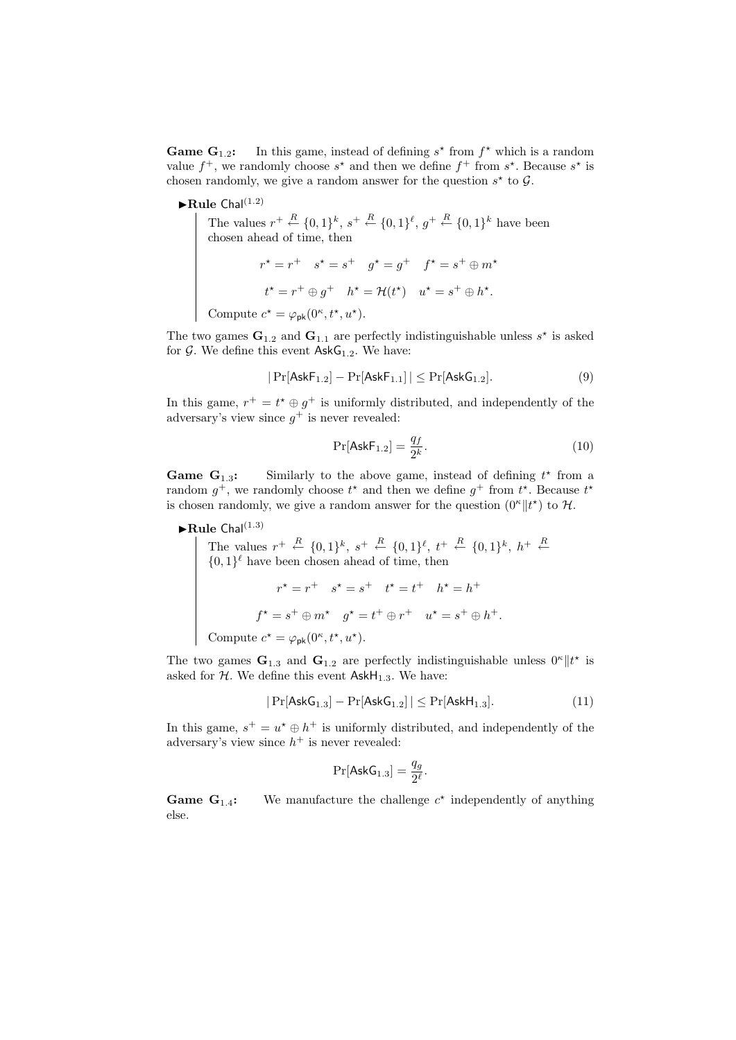**Game G<sub>1.2</sub>:** In this game, instead of defining  $s^*$  from  $f^*$  which is a random value  $f^+$ , we randomly choose  $s^*$  and then we define  $f^+$  from  $s^*$ . Because  $s^*$  is chosen randomly, we give a random answer for the question  $s^*$  to  $\mathcal{G}$ .

Rule Chal<sup>(1.2)</sup>

\nThe values 
$$
r^+ \stackrel{R}{\leftarrow} \{0,1\}^k
$$
,  $s^+ \stackrel{R}{\leftarrow} \{0,1\}^\ell$ ,  $g^+ \stackrel{R}{\leftarrow} \{0,1\}^k$  have been chosen ahead of time, then

\n
$$
r^* = r^+ \quad s^* = s^+ \quad g^* = g^+ \quad f^* = s^+ \oplus m^*
$$
\n
$$
t^* = r^+ \oplus g^+ \quad h^* = \mathcal{H}(t^*) \quad u^* = s^+ \oplus h^*.
$$
\nCompute  $c^* = \varphi_{\mathsf{pk}}(0^\kappa, t^*, u^*).$ 

The two games  $\mathbf{G}_{1,2}$  and  $\mathbf{G}_{1,1}$  are perfectly indistinguishable unless  $s^*$  is asked for  $G$ . We define this event  $AskG_{1,2}$ . We have:

$$
|\Pr[\mathsf{AskF}_{1.2}] - \Pr[\mathsf{AskF}_{1.1}]| \le \Pr[\mathsf{AskG}_{1.2}].\tag{9}
$$

In this game,  $r^+ = t^* \oplus g^+$  is uniformly distributed, and independently of the adversary's view since  $g^+$  is never revealed:

$$
\Pr[\mathsf{AskF}_{1.2}] = \frac{q_f}{2^k}.\tag{10}
$$

**Game G**<sub>1.3</sub>: Similarly to the above game, instead of defining  $t^*$  from a random  $g^+$ , we randomly choose  $t^*$  and then we define  $g^+$  from  $t^*$ . Because  $t^*$ is chosen randomly, we give a random answer for the question  $(0^{\kappa}||t^*)$  to H.

 $\blacktriangleright$  Rule Chal<sup>(1.3)</sup>

The values 
$$
r^+ \stackrel{R}{\leftarrow} \{0,1\}^k
$$
,  $s^+ \stackrel{R}{\leftarrow} \{0,1\}^\ell$ ,  $t^+ \stackrel{R}{\leftarrow} \{0,1\}^k$ ,  $h^+ \stackrel{R}{\leftarrow} \{0,1\}^\ell$   
\n $\{0,1\}^\ell$  have been chosen ahead of time, then  
\n $r^* = r^+ \quad s^* = s^+ \quad t^* = t^+ \quad h^* = h^+$   
\n $f^* = s^+ \oplus m^* \quad g^* = t^+ \oplus r^+ \quad u^* = s^+ \oplus h^+.$   
\nCompute  $c^* = \varphi_{\text{pk}}(0^\kappa, t^*, u^*).$ 

The two games  $\mathbf{G}_{1,3}$  and  $\mathbf{G}_{1,2}$  are perfectly indistinguishable unless  $0^{\kappa}$  |t\* is asked for  $H$ . We define this event  $\mathsf{AskH}_{1.3}$ . We have:

$$
|\Pr[\mathsf{AskG}_{1.3}] - \Pr[\mathsf{AskG}_{1.2}]| \le \Pr[\mathsf{AskH}_{1.3}]. \tag{11}
$$

In this game,  $s^+ = u^* \oplus h^+$  is uniformly distributed, and independently of the adversary's view since  $h^+$  is never revealed:

$$
\Pr[\mathsf{AskG}_{1.3}] = \frac{q_g}{2^{\ell}}.
$$

**Game G**<sub>1.4</sub>: We manufacture the challenge  $c^*$  independently of anything else.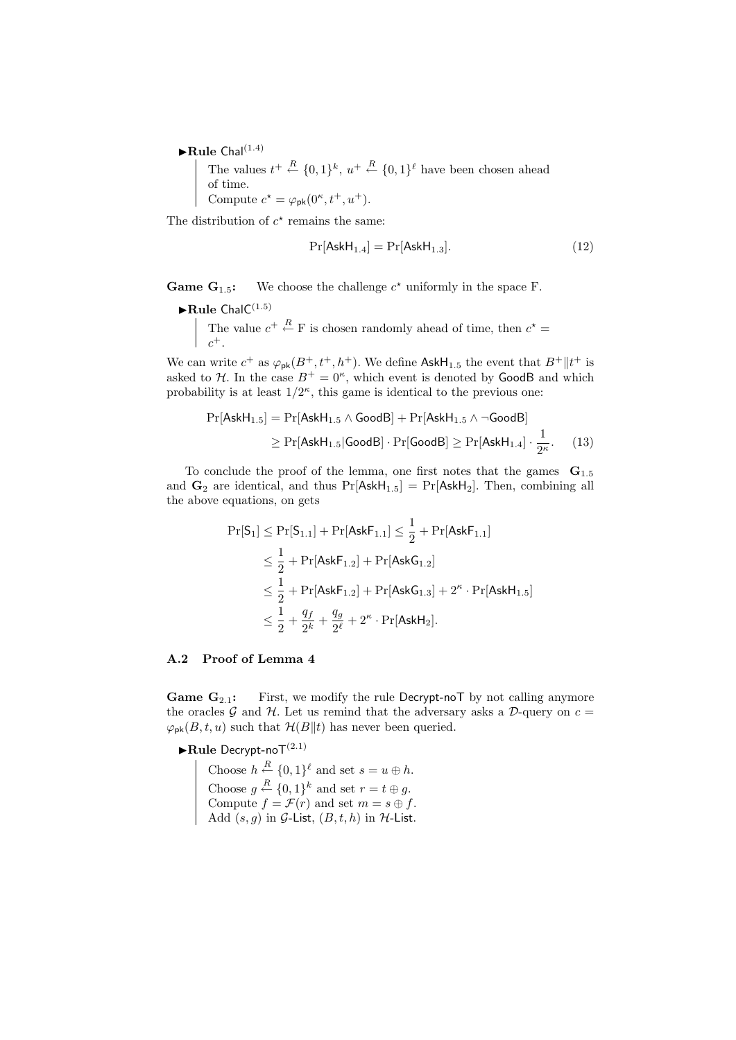$\blacktriangleright$ Rule Chal<sup>(1.4)</sup>

The values  $t^+ \stackrel{R}{\leftarrow} \{0,1\}^k$ ,  $u^+ \stackrel{R}{\leftarrow} \{0,1\}^{\ell}$  have been chosen ahead of time. Compute  $c^* = \varphi_{\text{pk}}(0^{\kappa}, t^+, u^+).$ 

The distribution of  $c^*$  remains the same:

$$
\Pr[\mathsf{AskH}_{1.4}] = \Pr[\mathsf{AskH}_{1.3}].\tag{12}
$$

**Game G**<sub>1.5</sub>: We choose the challenge  $c^*$  uniformly in the space F.

 $\blacktriangleright$ Rule ChalC $^{(1.5)}$ 

The value  $c^+ \stackrel{R}{\leftarrow} F$  is chosen randomly ahead of time, then  $c^* =$  $c^+$ .

We can write  $c^+$  as  $\varphi_{\mathsf{pk}}(B^+, t^+, h^+)$ . We define AskH<sub>1.5</sub> the event that  $B^+\parallel t^+$  is asked to H. In the case  $B^+ = 0^{\kappa}$ , which event is denoted by **GoodB** and which probability is at least  $1/2^{\kappa}$ , this game is identical to the previous one:

$$
\begin{aligned} \Pr[\mathsf{AskH}_{1.5}] &= \Pr[\mathsf{AskH}_{1.5} \land \mathsf{GoodB}] + \Pr[\mathsf{AskH}_{1.5} \land \neg \mathsf{GoodB}] \\ &\geq \Pr[\mathsf{AskH}_{1.5}|\mathsf{GoodB}] \cdot \Pr[\mathsf{GoodB}] \geq \Pr[\mathsf{AskH}_{1.4}] \cdot \frac{1}{2^{\kappa}}. \end{aligned} \eqno{(13)}
$$

To conclude the proof of the lemma, one first notes that the games  $\mathbf{G}_{1.5}$ and  $G_2$  are identical, and thus  $Pr[AskH_{1.5}] = Pr[AskH_2]$ . Then, combining all the above equations, on gets

$$
\begin{aligned} \Pr[S_1] &\leq \Pr[S_{1.1}] + \Pr[\mathsf{AskF}_{1.1}] \leq \frac{1}{2} + \Pr[\mathsf{AskF}_{1.1}] \\ &\leq \frac{1}{2} + \Pr[\mathsf{AskF}_{1.2}] + \Pr[\mathsf{AskG}_{1.2}] \\ &\leq \frac{1}{2} + \Pr[\mathsf{AskF}_{1.2}] + \Pr[\mathsf{AskG}_{1.3}] + 2^{\kappa} \cdot \Pr[\mathsf{AskH}_{1.5}] \\ &\leq \frac{1}{2} + \frac{q_f}{2^k} + \frac{q_g}{2^\ell} + 2^{\kappa} \cdot \Pr[\mathsf{AskH}_2]. \end{aligned}
$$

## A.2 Proof of Lemma 4

**Game G<sub>2.1</sub>:** First, we modify the rule Decrypt-noT by not calling anymore the oracles G and H. Let us remind that the adversary asks a D-query on  $c =$  $\varphi_{\rm pk}(B, t, u)$  such that  $\mathcal{H}(B||t)$  has never been queried.

 $\blacktriangleright$ Rule Decrypt-no $T^{(2.1)}$ 

Choose  $h \stackrel{R}{\leftarrow} \{0,1\}^{\ell}$  and set  $s = u \oplus h$ . Choose  $g \stackrel{R}{\leftarrow} \{0,1\}^k$  and set  $r = t \oplus g$ . Compute  $f = \mathcal{F}(r)$  and set  $m = s \oplus f$ . Add  $(s, g)$  in G-List,  $(B, t, h)$  in H-List.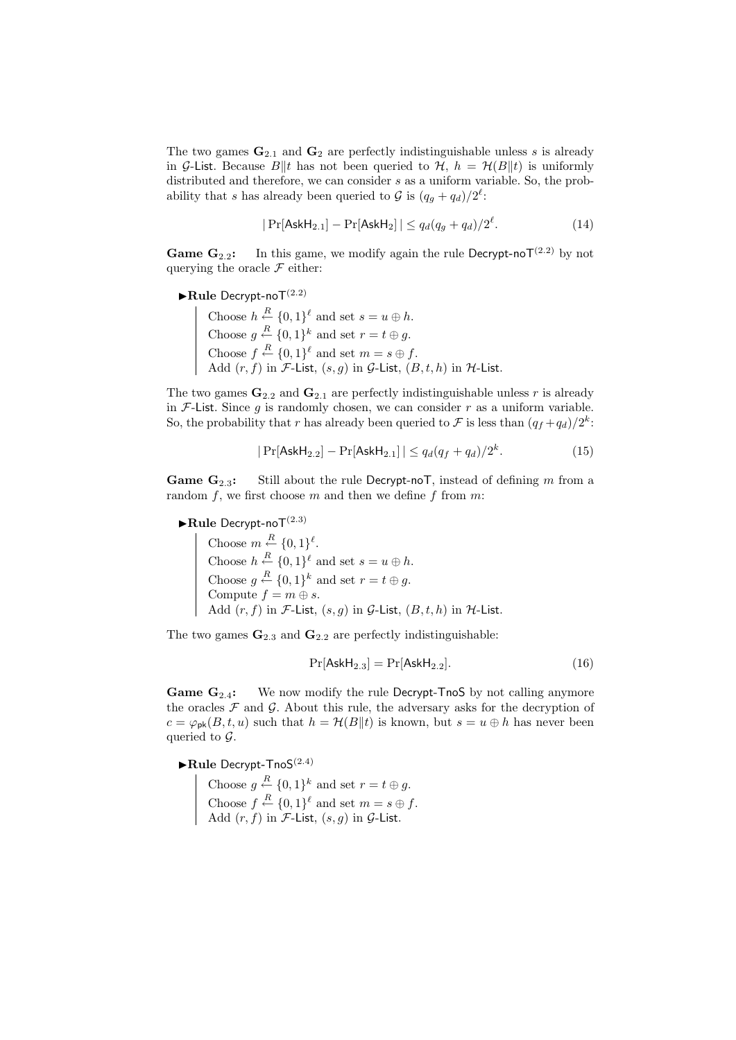The two games  $\mathbf{G}_{2,1}$  and  $\mathbf{G}_2$  are perfectly indistinguishable unless s is already in G-List. Because  $B||t$  has not been queried to  $\mathcal{H}, h = \mathcal{H}(B||t)$  is uniformly distributed and therefore, we can consider  $s$  as a uniform variable. So, the probability that s has already been queried to G is  $(q_g + q_d)/2^{\ell}$ :

$$
|\Pr[\mathsf{AskH}_{2.1}] - \Pr[\mathsf{AskH}_2]| \le q_d(q_g + q_d)/2^{\ell}.
$$
 (14)

**Game G<sub>2.2</sub>:** In this game, we modify again the rule Decrypt-noT<sup>(2.2)</sup> by not querying the oracle  $\mathcal F$  either:

 $\blacktriangleright$  Rule Decrypt-no $T^{(2.2)}$ 

Choose  $h \stackrel{R}{\leftarrow} \{0,1\}^{\ell}$  and set  $s = u \oplus h$ . Choose  $g \stackrel{R}{\leftarrow} \{0,1\}^k$  and set  $r = t \oplus g$ . Choose  $f \stackrel{R}{\leftarrow} \{0,1\}^{\ell}$  and set  $m = s \oplus f$ . Add  $(r, f)$  in F-List,  $(s, g)$  in G-List,  $(B, t, h)$  in H-List.

The two games  $\mathbf{G}_{2,2}$  and  $\mathbf{G}_{2,1}$  are perfectly indistinguishable unless r is already in  $F$ -List. Since g is randomly chosen, we can consider r as a uniform variable. So, the probability that r has already been queried to F is less than  $(q_f+q_d)/2^k$ :

$$
|\Pr[\mathsf{AskH}_{2.2}] - \Pr[\mathsf{AskH}_{2.1}]| \le q_d(q_f + q_d)/2^k.
$$
 (15)

**Game G**<sub>2.3</sub>: Still about the rule Decrypt-noT, instead of defining m from a random  $f$ , we first choose  $m$  and then we define  $f$  from  $m$ :

 $\blacktriangleright$ Rule Decrypt-no $T^{(2.3)}$ 

Choose  $m \stackrel{R}{\leftarrow} \{0,1\}^{\ell}$ . Choose  $h \stackrel{R}{\leftarrow} \{0,1\}^{\ell}$  and set  $s = u \oplus h$ . Choose  $g \stackrel{R}{\leftarrow} \{0,1\}^k$  and set  $r = t \oplus g$ . Compute  $f = m \oplus s$ . Add  $(r, f)$  in F-List,  $(s, g)$  in G-List,  $(B, t, h)$  in H-List.

The two games  $\mathbf{G}_{2,3}$  and  $\mathbf{G}_{2,2}$  are perfectly indistinguishable:

$$
Pr[AskH_{2.3}] = Pr[AskH_{2.2}].
$$
\n(16)

**Game**  $G_{2,4}$ **:** We now modify the rule Decrypt-TnoS by not calling anymore the oracles  $\mathcal F$  and  $\mathcal G$ . About this rule, the adversary asks for the decryption of  $c = \varphi_{\rm pk}(B, t, u)$  such that  $h = \mathcal{H}(B||t)$  is known, but  $s = u \oplus h$  has never been queried to  $\mathcal{G}$ .

 $\blacktriangleright$  Rule Decrypt-TnoS<sup>(2.4)</sup>

Choose  $g \stackrel{R}{\leftarrow} \{0,1\}^k$  and set  $r = t \oplus g$ . Choose  $f \stackrel{R}{\leftarrow} \{0,1\}^{\ell}$  and set  $m = s \oplus f$ . Add  $(r, f)$  in F-List,  $(s, g)$  in G-List.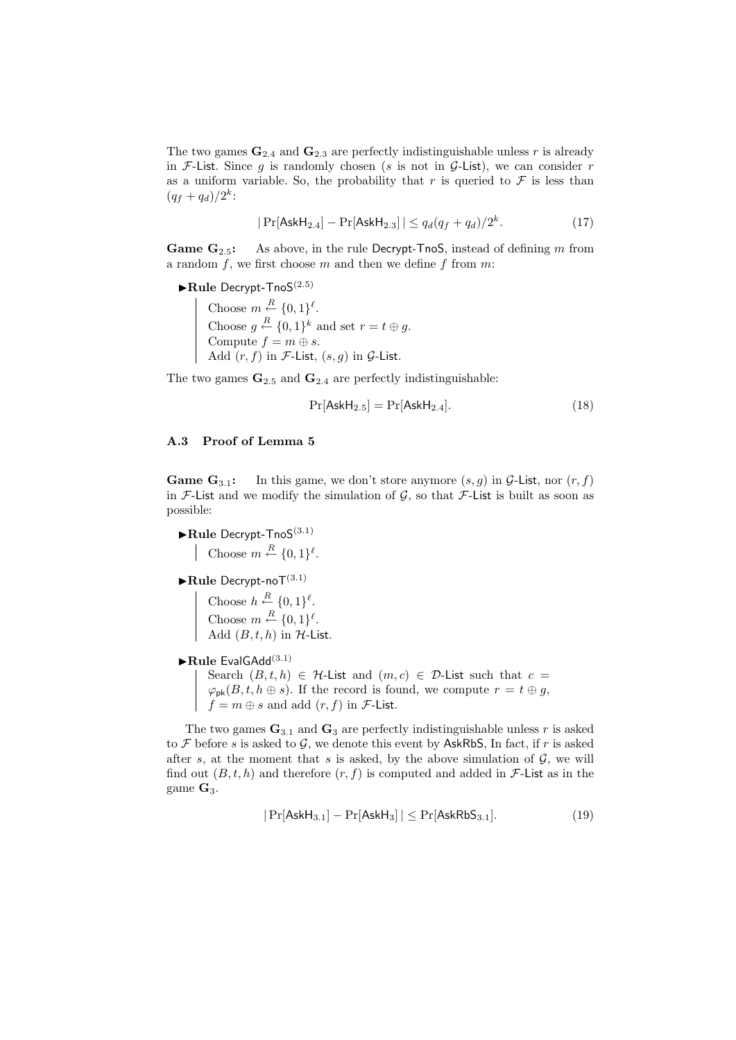The two games  $\mathbf{G}_{2.4}$  and  $\mathbf{G}_{2.3}$  are perfectly indistinguishable unless r is already in  $F$ -List. Since g is randomly chosen (s is not in  $G$ -List), we can consider r as a uniform variable. So, the probability that r is queried to  $\mathcal F$  is less than  $(q_f + q_d)/2^k$ :

$$
|\Pr[\mathsf{AskH}_{2.4}] - \Pr[\mathsf{AskH}_{2.3}]| \le q_d(q_f + q_d)/2^k.
$$
 (17)

**Game G**<sub>2.5</sub>: As above, in the rule Decrypt-TnoS, instead of defining m from a random  $f$ , we first choose  $m$  and then we define  $f$  from  $m$ :

### $\blacktriangleright$  Rule Decrypt-TnoS<sup>(2.5)</sup>

Choose  $m \stackrel{R}{\leftarrow} \{0,1\}^{\ell}$ . Choose  $g \stackrel{R}{\leftarrow} \{0,1\}^k$  and set  $r = t \oplus g$ . Compute  $f = m \oplus s$ . Add  $(r, f)$  in F-List,  $(s, g)$  in G-List.

The two games  $\mathbf{G}_{2.5}$  and  $\mathbf{G}_{2.4}$  are perfectly indistinguishable:

$$
Pr[AskH_{2.5}] = Pr[AskH_{2.4}].
$$
\n(18)

## A.3 Proof of Lemma 5

**Game G**<sub>3.1</sub>: In this game, we don't store anymore  $(s, g)$  in G-List, nor  $(r, f)$ in F-List and we modify the simulation of  $G$ , so that F-List is built as soon as possible:

 $\blacktriangleright$ Rule Decrypt-TnoS $^{(3.1)}$ Choose  $m \stackrel{R}{\leftarrow} \{0,1\}^{\ell}$ .  $\blacktriangleright$ Rule Decrypt-no $T^{(3.1)}$ Choose  $h \stackrel{R}{\leftarrow} \{0,1\}^{\ell}$ . Choose  $m \stackrel{R}{\leftarrow} \{0,1\}^{\ell}$ . Add  $(B, t, h)$  in  $H$ -List.

 $\blacktriangleright$ Rule EvalGAdd<sup>(3.1)</sup>

Search  $(B, t, h) \in H$ -List and  $(m, c) \in D$ -List such that  $c =$  $\varphi_{\mathsf{pk}}(B, t, h \oplus s)$ . If the record is found, we compute  $r = t \oplus g$ ,  $f = m \oplus s$  and add  $(r, f)$  in F-List.

The two games  $\mathbf{G}_{3,1}$  and  $\mathbf{G}_3$  are perfectly indistinguishable unless r is asked to F before s is asked to G, we denote this event by AskRbS, In fact, if r is asked after s, at the moment that s is asked, by the above simulation of  $G$ , we will find out  $(B, t, h)$  and therefore  $(r, f)$  is computed and added in F-List as in the game  $\mathbf{G}_3$ .

$$
|\Pr[\mathsf{AskH}_{3.1}] - \Pr[\mathsf{AskH}_3]| \le \Pr[\mathsf{AskRbS}_{3.1}]. \tag{19}
$$